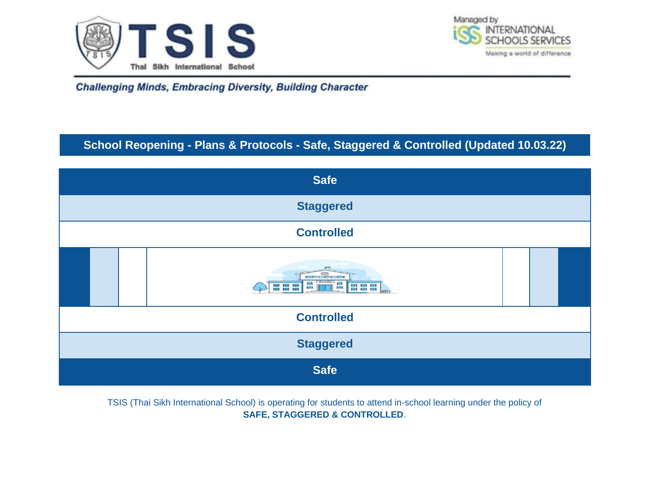



# **School Reopening - Plans & Protocols - Safe, Staggered & Controlled (Updated 10.03.22)**



TSIS (Thai Sikh International School) is operating for students to attend in-school learning under the policy of **SAFE, STAGGERED & CONTROLLED**.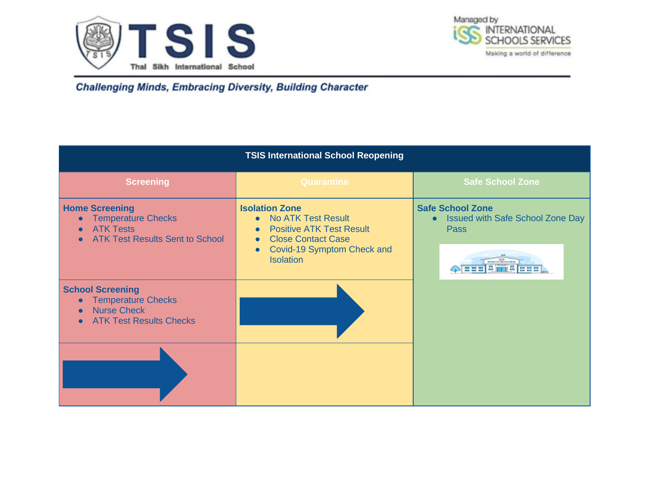



| <b>TSIS International School Reopening</b>                                                                                             |                                                                                                                                                                                   |                                                                                                                                             |
|----------------------------------------------------------------------------------------------------------------------------------------|-----------------------------------------------------------------------------------------------------------------------------------------------------------------------------------|---------------------------------------------------------------------------------------------------------------------------------------------|
| <b>Screening</b>                                                                                                                       | Quarantine                                                                                                                                                                        | <b>Safe School Zone</b>                                                                                                                     |
| <b>Home Screening</b><br><b>Temperature Checks</b><br>$\bullet$<br><b>ATK Tests</b><br><b>ATK Test Results Sent to School</b>          | <b>Isolation Zone</b><br><b>No ATK Test Result</b><br><b>Positive ATK Test Result</b><br><b>Close Contact Case</b><br>Covid-19 Symptom Check and<br>$\bullet$<br><b>Isolation</b> | <b>Safe School Zone</b><br><b>Issued with Safe School Zone Day</b><br>$\bullet$<br><b>Pass</b><br>1 a '<br>n e<br><b>HEFI</b><br><b>BBB</b> |
| <b>School Screening</b><br><b>Temperature Checks</b><br>$\bullet$<br><b>Nurse Check</b><br>$\bullet$<br><b>ATK Test Results Checks</b> |                                                                                                                                                                                   |                                                                                                                                             |
|                                                                                                                                        |                                                                                                                                                                                   |                                                                                                                                             |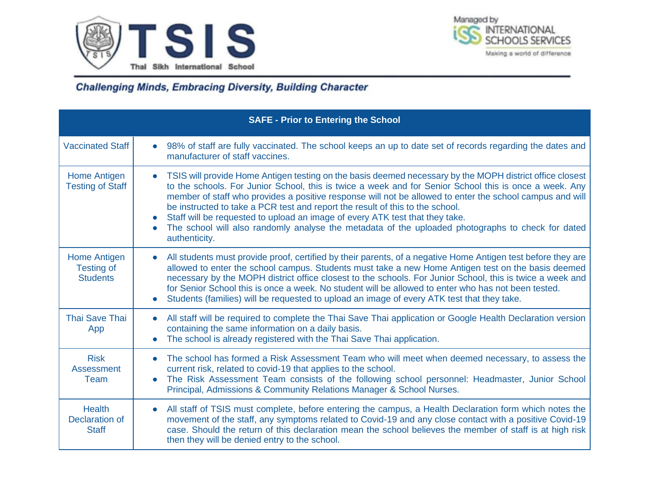



|                                                        | <b>SAFE - Prior to Entering the School</b>                                                                                                                                                                                                                                                                                                                                                                                                                                                                                                                                                                                                      |
|--------------------------------------------------------|-------------------------------------------------------------------------------------------------------------------------------------------------------------------------------------------------------------------------------------------------------------------------------------------------------------------------------------------------------------------------------------------------------------------------------------------------------------------------------------------------------------------------------------------------------------------------------------------------------------------------------------------------|
| <b>Vaccinated Staff</b>                                | 98% of staff are fully vaccinated. The school keeps an up to date set of records regarding the dates and<br>$\bullet$<br>manufacturer of staff vaccines.                                                                                                                                                                                                                                                                                                                                                                                                                                                                                        |
| Home Antigen<br><b>Testing of Staff</b>                | TSIS will provide Home Antigen testing on the basis deemed necessary by the MOPH district office closest<br>$\bullet$<br>to the schools. For Junior School, this is twice a week and for Senior School this is once a week. Any<br>member of staff who provides a positive response will not be allowed to enter the school campus and will<br>be instructed to take a PCR test and report the result of this to the school.<br>Staff will be requested to upload an image of every ATK test that they take.<br>The school will also randomly analyse the metadata of the uploaded photographs to check for dated<br>$\bullet$<br>authenticity. |
| Home Antigen<br><b>Testing of</b><br><b>Students</b>   | All students must provide proof, certified by their parents, of a negative Home Antigen test before they are<br>$\bullet$<br>allowed to enter the school campus. Students must take a new Home Antigen test on the basis deemed<br>necessary by the MOPH district office closest to the schools. For Junior School, this is twice a week and<br>for Senior School this is once a week. No student will be allowed to enter who has not been tested.<br>Students (families) will be requested to upload an image of every ATK test that they take.                                                                                               |
| <b>Thai Save Thai</b><br>App                           | All staff will be required to complete the Thai Save Thai application or Google Health Declaration version<br>$\bullet$<br>containing the same information on a daily basis.<br>The school is already registered with the Thai Save Thai application.<br>$\bullet$                                                                                                                                                                                                                                                                                                                                                                              |
| <b>Risk</b><br><b>Assessment</b><br>Team               | The school has formed a Risk Assessment Team who will meet when deemed necessary, to assess the<br>$\bullet$<br>current risk, related to covid-19 that applies to the school.<br>The Risk Assessment Team consists of the following school personnel: Headmaster, Junior School<br>$\bullet$<br>Principal, Admissions & Community Relations Manager & School Nurses.                                                                                                                                                                                                                                                                            |
| <b>Health</b><br><b>Declaration of</b><br><b>Staff</b> | All staff of TSIS must complete, before entering the campus, a Health Declaration form which notes the<br>$\bullet$<br>movement of the staff, any symptoms related to Covid-19 and any close contact with a positive Covid-19<br>case. Should the return of this declaration mean the school believes the member of staff is at high risk<br>then they will be denied entry to the school.                                                                                                                                                                                                                                                      |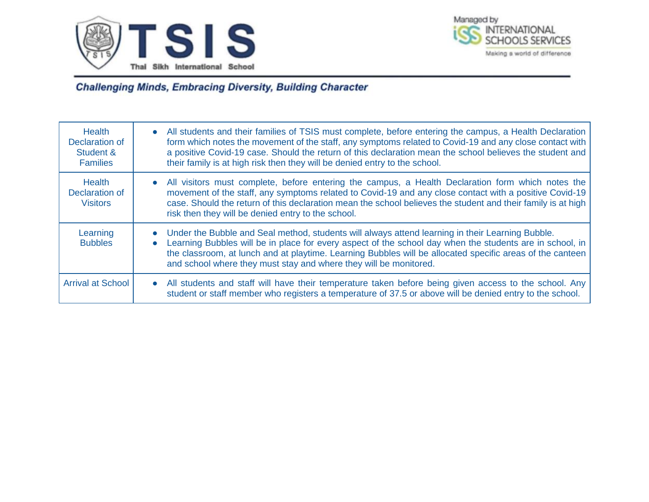



| <b>Health</b><br>Declaration of<br>Student &<br><b>Families</b> | All students and their families of TSIS must complete, before entering the campus, a Health Declaration<br>$\bullet$<br>form which notes the movement of the staff, any symptoms related to Covid-19 and any close contact with<br>a positive Covid-19 case. Should the return of this declaration mean the school believes the student and<br>their family is at high risk then they will be denied entry to the school. |
|-----------------------------------------------------------------|---------------------------------------------------------------------------------------------------------------------------------------------------------------------------------------------------------------------------------------------------------------------------------------------------------------------------------------------------------------------------------------------------------------------------|
| <b>Health</b><br>Declaration of<br><b>Visitors</b>              | All visitors must complete, before entering the campus, a Health Declaration form which notes the<br>$\bullet$<br>movement of the staff, any symptoms related to Covid-19 and any close contact with a positive Covid-19<br>case. Should the return of this declaration mean the school believes the student and their family is at high<br>risk then they will be denied entry to the school.                            |
| Learning<br><b>Bubbles</b>                                      | Under the Bubble and Seal method, students will always attend learning in their Learning Bubble.<br>$\bullet$<br>Learning Bubbles will be in place for every aspect of the school day when the students are in school, in<br>$\bullet$<br>the classroom, at lunch and at playtime. Learning Bubbles will be allocated specific areas of the canteen<br>and school where they must stay and where they will be monitored.  |
| <b>Arrival at School</b>                                        | All students and staff will have their temperature taken before being given access to the school. Any<br>$\bullet$<br>student or staff member who registers a temperature of 37.5 or above will be denied entry to the school.                                                                                                                                                                                            |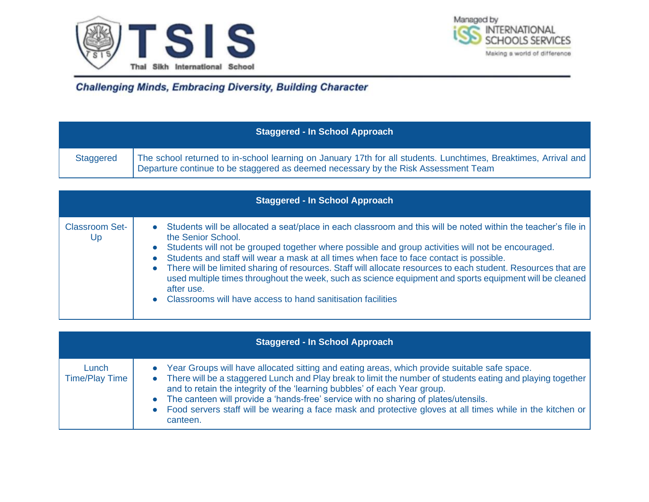



|                  | <b>Staggered - In School Approach</b>                                                                                                                                                                 |
|------------------|-------------------------------------------------------------------------------------------------------------------------------------------------------------------------------------------------------|
| <b>Staggered</b> | The school returned to in-school learning on January 17th for all students. Lunchtimes, Breaktimes, Arrival and<br>Departure continue to be staggered as deemed necessary by the Risk Assessment Team |

|                             | <b>Staggered - In School Approach</b>                                                                                                                                                                                                                                                                                                                                                                                                                                                                                                                                                                                                                                                            |
|-----------------------------|--------------------------------------------------------------------------------------------------------------------------------------------------------------------------------------------------------------------------------------------------------------------------------------------------------------------------------------------------------------------------------------------------------------------------------------------------------------------------------------------------------------------------------------------------------------------------------------------------------------------------------------------------------------------------------------------------|
| <b>Classroom Set-</b><br>Up | Students will be allocated a seat/place in each classroom and this will be noted within the teacher's file in<br>the Senior School.<br>Students will not be grouped together where possible and group activities will not be encouraged.<br>$\bullet$<br>Students and staff will wear a mask at all times when face to face contact is possible.<br>$\bullet$<br>There will be limited sharing of resources. Staff will allocate resources to each student. Resources that are<br>$\bullet$<br>used multiple times throughout the week, such as science equipment and sports equipment will be cleaned<br>after use.<br>Classrooms will have access to hand sanitisation facilities<br>$\bullet$ |

|                                | <b>Staggered - In School Approach</b>                                                                                                                                                                                                                                                                                                                                                                                                                                                                                  |
|--------------------------------|------------------------------------------------------------------------------------------------------------------------------------------------------------------------------------------------------------------------------------------------------------------------------------------------------------------------------------------------------------------------------------------------------------------------------------------------------------------------------------------------------------------------|
| Lunch<br><b>Time/Play Time</b> | Year Groups will have allocated sitting and eating areas, which provide suitable safe space.<br>There will be a staggered Lunch and Play break to limit the number of students eating and playing together<br>and to retain the integrity of the 'learning bubbles' of each Year group.<br>The canteen will provide a 'hands-free' service with no sharing of plates/utensils.<br>$\bullet$<br>• Food servers staff will be wearing a face mask and protective gloves at all times while in the kitchen or<br>canteen. |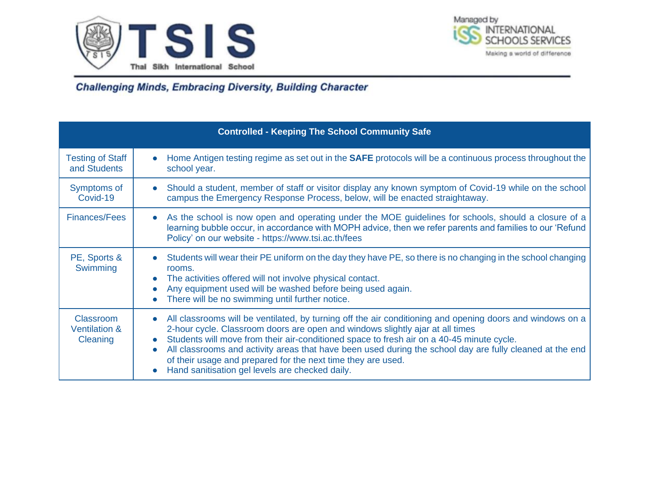



|                                                   | <b>Controlled - Keeping The School Community Safe</b>                                                                                                                                                                                                                                                                                                                                                                                                                                                                                                         |
|---------------------------------------------------|---------------------------------------------------------------------------------------------------------------------------------------------------------------------------------------------------------------------------------------------------------------------------------------------------------------------------------------------------------------------------------------------------------------------------------------------------------------------------------------------------------------------------------------------------------------|
| <b>Testing of Staff</b><br>and Students           | Home Antigen testing regime as set out in the SAFE protocols will be a continuous process throughout the<br>$\bullet$<br>school year.                                                                                                                                                                                                                                                                                                                                                                                                                         |
| Symptoms of<br>Covid-19                           | Should a student, member of staff or visitor display any known symptom of Covid-19 while on the school<br>$\bullet$<br>campus the Emergency Response Process, below, will be enacted straightaway.                                                                                                                                                                                                                                                                                                                                                            |
| <b>Finances/Fees</b>                              | As the school is now open and operating under the MOE guidelines for schools, should a closure of a<br>$\bullet$<br>learning bubble occur, in accordance with MOPH advice, then we refer parents and families to our 'Refund<br>Policy' on our website - https://www.tsi.ac.th/fees                                                                                                                                                                                                                                                                           |
| PE, Sports &<br>Swimming                          | Students will wear their PE uniform on the day they have PE, so there is no changing in the school changing<br>rooms.<br>The activities offered will not involve physical contact.<br>$\bullet$<br>Any equipment used will be washed before being used again.<br>$\bullet$<br>There will be no swimming until further notice.<br>$\bullet$                                                                                                                                                                                                                    |
| Classroom<br><b>Ventilation &amp;</b><br>Cleaning | All classrooms will be ventilated, by turning off the air conditioning and opening doors and windows on a<br>$\bullet$<br>2-hour cycle. Classroom doors are open and windows slightly ajar at all times<br>Students will move from their air-conditioned space to fresh air on a 40-45 minute cycle.<br>All classrooms and activity areas that have been used during the school day are fully cleaned at the end<br>$\bullet$<br>of their usage and prepared for the next time they are used.<br>Hand sanitisation gel levels are checked daily.<br>$\bullet$ |